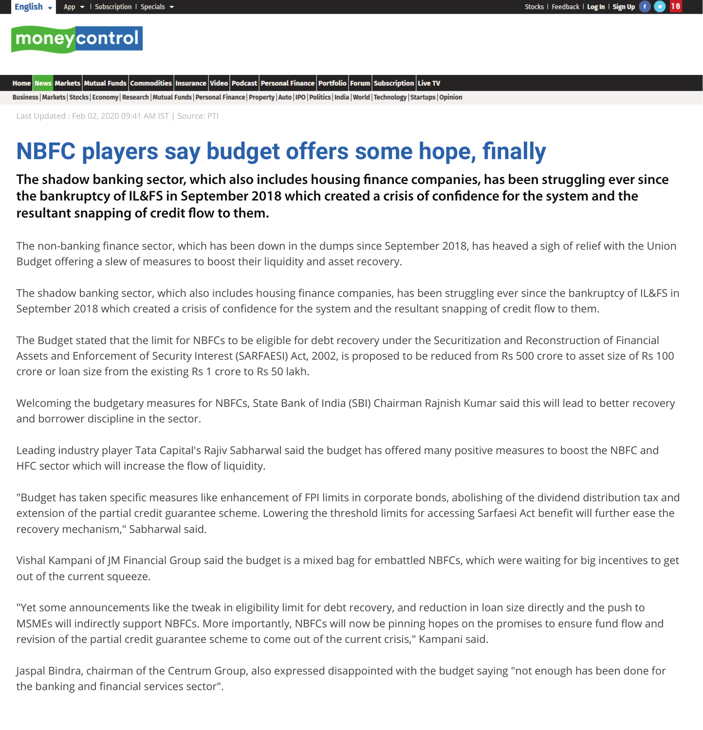## moneycontrol

Home News Markets Mutual Funds Commodities Insurance Video Podcast Personal Finance Portfolio Forum Subscription Live TV

Business | Markets | Stocks | Economy | Research | Mutual Funds | Personal Finance | Property | Auto | IPO | Politics | India | World | Technology | Startups | Opinion

## **NBFC players say budget offers some hope, finally**

The shadow banking sector, which also includes housing finance companies, has been struggling ever since the bankruptcy of IL&FS in September 2018 which created a crisis of confidence for the system and the resultant snapping of credit flow to them.

The non-banking finance sector, which has been down in the dumps since September 2018, has heaved a sigh of relief with the Union Budget offering a slew of measures to boost their liquidity and asset recovery.

The shadow banking sector, which also includes housing finance companies, has been struggling ever since the bankruptcy of IL&FS in September 2018 which created a crisis of confidence for the system and the resultant snapping of credit flow to them.

The Budget stated that the limit for NBFCs to be eligible for debt recovery under the Securitization and Reconstruction of Financial Assets and Enforcement of Security Interest (SARFAESI) Act, 2002, is proposed to be reduced from Rs 500 crore to asset size of Rs 100 crore or loan size from the existing Rs 1 crore to Rs 50 lakh.

Welcoming the budgetary measures for NBFCs, State Bank of India (SBI) Chairman Rajnish Kumar said this will lead to better recovery and borrower discipline in the sector.

Leading industry player Tata Capital's Rajiv Sabharwal said the budget has offered many positive measures to boost the NBFC and HFC sector which will increase the flow of liquidity.

"Budget has taken specific measures like enhancement of FPI limits in corporate bonds, abolishing of the dividend distribution tax and extension of the partial credit guarantee scheme. Lowering the threshold limits for accessing Sarfaesi Act benefit will further ease the recovery mechanism," Sabharwal said.

Vishal Kampani of JM Financial Group said the budget is a mixed bag for embattled NBFCs, which were waiting for big incentives to get out of the current squeeze.

"Yet some announcements like the tweak in eligibility limit for debt recovery, and reduction in loan size directly and the push to MSMEs will indirectly support NBFCs. More importantly, NBFCs will now be pinning hopes on the promises to ensure fund flow and revision of the partial credit guarantee scheme to come out of the current crisis," Kampani said.

Jaspal Bindra, chairman of the Centrum Group, also expressed disappointed with the budget saying "not enough has been done for the banking and financial services sector".

Last Updated : Feb 02, 2020 09:41 AM IST | Source: PTI